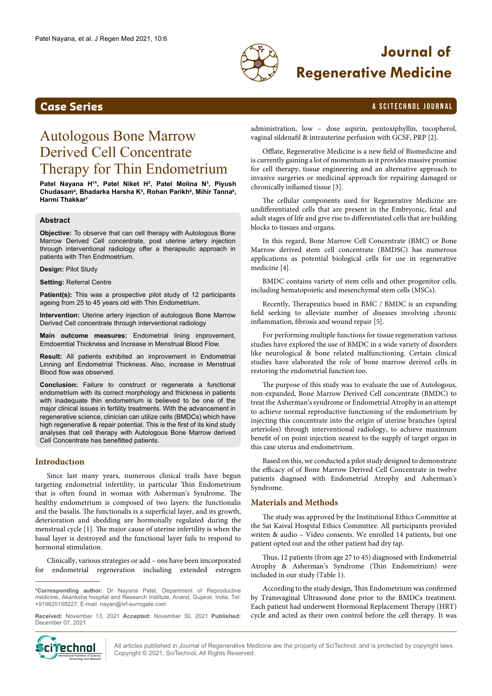

# **Journal of Regenerative Medicine**

### **Case Series** A Science A Science A Science A Science A Science A Science A Science A Science A Science A Science A Science A Science A Science A Science A Science A Science A Science A Science A Science A Science A Scienc

# Autologous Bone Marrow Derived Cell Concentrate Therapy for Thin Endometrium

**Patel Nayana H1 \*, Patel Niket H2 , Patel Molina N3 , Piyush**  Chudasam<sup>4</sup>, Bhadarka Harsha K<sup>5</sup>, Rohan Parikh<sup>6</sup>, Mihir Tanna<sup>6</sup>, **Harmi Thakkar7**

## **Abstract**

**Objective:** To observe that can cell therapy with Autologous Bone Marrow Derived Cell concentrate, post uterine artery injection through interventional radiology offer a therapeutic approach in patients with Thin Endmoetrium.

**Design:** Pilot Study

**Setting:** Referral Centre

**Patient(s):** This was a prospective pilot study of 12 participants ageing from 25 to 45 years old with Thin Endometrium.

**Intervention:** Uterine artery injection of autologous Bone Marrow Derived Cell concentrate through interventional radiology

**Main outcome measures:** Endometrial lining improvement, Emdoemtial Thickness and Increase in Menstrual Blood Flow.

**Result:** All patients exhibited an improvement in Endometrial Linning anf Endometrial Thickness. Also, increase in Menstrual Blood flow was observed.

**Conclusion:** Failure to construct or regenerate a functional endometrium with its correct morphology and thickness in patients with inadequate thin endometrium is believed to be one of the major clinical issues in fertility treatments. With the advancement in regenerative science, clinician can utilize cells (BMDCs) which have high regenerative & repair potential. This is the first of its kind study analyses that cell therapy with Autologous Bone Marrow derived Cell Concentrate has benefitted patients.

### **Introductıon**

Since last many years, numerous clinical trails have begun targeting endometrial infertility, in particular Thin Endometrium that is often found in woman with Asherman's Syndrome. The healthy endometrium is composed of two layers: the functionalis and the basalis. The functionalis is a superficial layer, and its growth, deterioration and shedding are hormonally regulated during the menstrual cycle [1]. The major cause of uterine infertility is when the basal layer is destroyed and the functional layer fails to respond to hormonal stimulation.

Clinically, various strategies or add – ons have been imcorporated for endometrial regeneration including extended estrogen

**\*Corresponding author:** Dr Nayana Patel, Department of Reproductive medicine, Akanksha hospital and Research Institute, Anand, Gujarat, India, Tel: +919825158227; E-mail: nayan@ivf-surrogate.com

**Received:** November 13, 2021 **Accepted:** November 30, 2021 **Published:** December 07, 2021



Offlate, Regenerative Medicine is a new field of Biomedicine and is currently gaining a lot of momentum as it provides massive promise for cell therapy, tissue engineering and an alternative approach to invasive surgeries or medicinal approach for repairing damaged or chronically inflamed tissue [3].

The cellular components used for Regenerative Medicine are undifferentiated cells that are present in the Embryonic, fetal and adult stages of life and give rise to differentiated cells that are building blocks to tissues and organs.

In this regard, Bone Marrow Cell Concentrate (BMC) or Bone Marrow derived stem cell concentrate (BMDSC) has numerous applications as potential biological cells for use in regenerative medicine [4].

BMDC contains variety of stem cells and other progenitor cells, including hematopoietic and mesenchymal stem cells (MSCs).

Recently, Therapeutics based in BMC / BMDC is an expanding field seeking to alleviate number of diseases involving chronic inflammation, fibrosis and wound repair [5].

For performing multiple functions for tissue regeneration various studies have explored the use of BMDC in a wide variety of disorders like neurological & bone related malfunctioning. Certain clinical studies have elaborated the role of bone marrow derived cells in restoring the endometrial function too.

The purpose of this study was to evaluate the use of Autologous, non-expanded, Bone Marrow Derived Cell concentrate (BMDC) to treat the Asherman's syndrome or Endometrial Atrophy in an attempt to achieve normal reproductive functioning of the endometrium by injecting this concentrate into the origin of uterine branches (spiral arterioles) through interventional radiology, to achieve maximum benefit of on point injection nearest to the supply of target organ in this case uterus and endometrium.

Based on this, we conducted a pilot study designed to demonstrate the efficacy of of Bone Marrow Derived Cell Concentrate in twelve patients diagnsed with Endometrial Atrophy and Asherman's Syndrome.

### **Materials and Methods**

The study was approved by the Institutional Ethics Committee at the Sat Kaival Hospital Ethics Committee. All participants provided writen & audio – Video consents. We enrolled 14 patients, but one patient opted out and the other patient had dry tap.

Thus, 12 patients (from age 27 to 45) diagnosed with Endometrial Atrophy & Asherman's Syndrome (Thin Endometrium) were included in our study (Table 1).

According to the study design, Thin Endometrium was confirmed by Transvaginal Ultrasound done prior to the BMDCs treatment. Each patient had underwent Hormonal Replacement Therapy (HRT) cycle and acted as their own control before the cell therapy. It was



All articles published in Journal of Regenerative Medicine are the property of SciTechnol, and is protected by copyright laws. Copyright © 2021, SciTechnol, All Rights Reserved.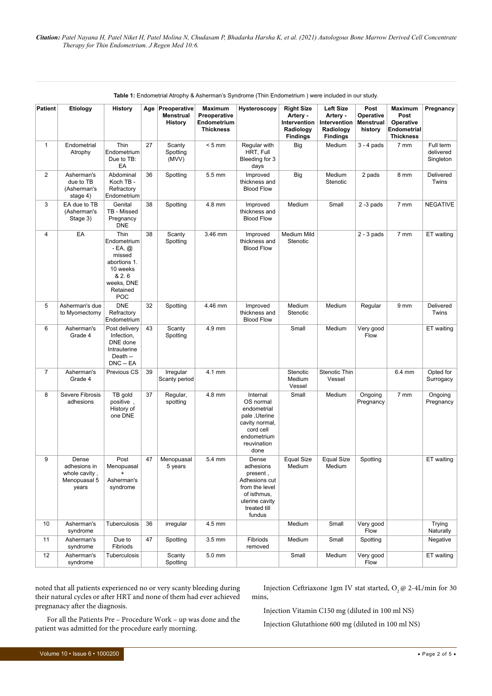| <b>Patient</b> | <b>Etiology</b>                                                 | History                                                                                                        |    | Age Preoperative<br>Menstrual<br><b>History</b> | Maximum<br>Preoperative<br>Endometrium<br><b>Thickness</b> | <b>Hysteroscopy</b>                                                                                                          | <b>Right Size</b><br>Artery -<br>Intervention<br>Radiology<br><b>Findings</b> | <b>Left Size</b><br>Artery -<br>Intervention<br>Radiology<br><b>Findings</b> | Post<br>Operative<br><b>Menstrual</b><br>history | Maximum<br>Post<br>Operative<br><b>Endometrial</b><br><b>Thickness</b> | Pregnancy                           |
|----------------|-----------------------------------------------------------------|----------------------------------------------------------------------------------------------------------------|----|-------------------------------------------------|------------------------------------------------------------|------------------------------------------------------------------------------------------------------------------------------|-------------------------------------------------------------------------------|------------------------------------------------------------------------------|--------------------------------------------------|------------------------------------------------------------------------|-------------------------------------|
| $\mathbf{1}$   | Endometrial<br>Atrophy                                          | Thin<br>Endometrium<br>Due to TB:<br>EA                                                                        | 27 | Scanty<br>Spotting<br>(MVV)                     | $< 5$ mm                                                   | Regular with<br>HRT, Full<br>Bleeding for 3<br>days                                                                          | <b>Big</b>                                                                    | Medium                                                                       | $3 - 4$ pads                                     | 7 mm                                                                   | Full term<br>delivered<br>Singleton |
| $\overline{2}$ | Asherman's<br>due to TB<br>(Asherman's<br>stage 4)              | Abdominal<br>Koch TB -<br>Refractory<br>Endometrium                                                            | 36 | Spotting                                        | 5.5 mm                                                     | Improved<br>thickness and<br><b>Blood Flow</b>                                                                               | <b>Big</b>                                                                    | Medium<br>Stenotic                                                           | 2 pads                                           | 8 mm                                                                   | Delivered<br>Twins                  |
| 3              | EA due to TB<br>(Asherman's<br>Stage 3)                         | Genital<br>TB - Missed<br>Pregnancy<br><b>DNE</b>                                                              | 38 | Spotting                                        | 4.8 mm                                                     | Improved<br>thickness and<br><b>Blood Flow</b>                                                                               | Medium                                                                        | Small                                                                        | $2 - 3$ pads                                     | 7 mm                                                                   | <b>NEGATIVE</b>                     |
| 4              | EA                                                              | Thin<br>Endometrium<br>- EA, @<br>missed<br>abortions 1.<br>10 weeks<br>& 2.6<br>weeks, DNE<br>Retained<br>POC | 38 | Scanty<br>Spotting                              | 3.46 mm                                                    | Improved<br>thickness and<br><b>Blood Flow</b>                                                                               | Medium Mild<br>Stenotic                                                       |                                                                              | $2 - 3$ pads                                     | 7 mm                                                                   | ET waiting                          |
| 5              | Asherman's due<br>to Myomectomy                                 | <b>DNE</b><br>Refractory<br>Endometrium                                                                        | 32 | Spotting                                        | 4.46 mm                                                    | Improved<br>thickness and<br><b>Blood Flow</b>                                                                               | Medium<br>Stenotic                                                            | Medium                                                                       | Regular                                          | 9 <sub>mm</sub>                                                        | Delivered<br>Twins                  |
| 6              | Asherman's<br>Grade 4                                           | Post delivery<br>Infection,<br>DNE done<br>Intrauterine<br>Death --<br>DNC -- EA                               | 43 | Scanty<br>Spotting                              | 4.9 mm                                                     |                                                                                                                              | Small                                                                         | Medium                                                                       | Very good<br>Flow                                |                                                                        | ET waiting                          |
| $\overline{7}$ | Asherman's<br>Grade 4                                           | Previous CS                                                                                                    | 39 | Irregular<br>Scanty period                      | 4.1 mm                                                     |                                                                                                                              | Stenotic<br>Medium<br>Vessel                                                  | Stenotic Thin<br>Vessel                                                      |                                                  | 6.4 mm                                                                 | Opted for<br>Surrogacy              |
| 8              | Severe Fibrosis<br>adhesions                                    | TB gold<br>positive,<br>History of<br>one DNE                                                                  | 37 | Regular,<br>spotting                            | 4.8 mm                                                     | Internal<br>OS normal<br>endometrial<br>pale, Uterine<br>cavity normal,<br>cord cell<br>endometrium<br>reuvination<br>done   | Small                                                                         | Medium                                                                       | Ongoing<br>Pregnancy                             | 7 mm                                                                   | Ongoing<br>Pregnancy                |
| 9              | Dense<br>adhesions in<br>whole cavity,<br>Menopuasal 5<br>years | Post<br>Menopuasal<br>$\pmb{+}$<br>Asherman's<br>syndrome                                                      | 47 | Menopuasal<br>5 years                           | 5.4 mm                                                     | Dense<br>adhesions<br>present,<br>Adhesions cut<br>from the level<br>of isthmus,<br>uterine cavity<br>treated till<br>fundus | <b>Equal Size</b><br>Medium                                                   | <b>Equal Size</b><br>Medium                                                  | Spotting                                         |                                                                        | ET waiting                          |
| 10             | Asherman's<br>syndrome                                          | Tuberculosis                                                                                                   | 36 | irregular                                       | 4.5 mm                                                     |                                                                                                                              | Medium                                                                        | Small                                                                        | Very good<br>Flow                                |                                                                        | Trying<br>Naturally                 |
| 11             | Asherman's<br>syndrome                                          | Due to<br>Fibriods                                                                                             | 47 | Spotting                                        | $3.5 \text{ mm}$                                           | Fibriods<br>removed                                                                                                          | Medium                                                                        | Small                                                                        | Spotting                                         |                                                                        | Negative                            |
| 12             | Asherman's<br>syndrome                                          | Tuberculosis                                                                                                   |    | Scanty<br>Spotting                              | 5.0 mm                                                     |                                                                                                                              | Small                                                                         | Medium                                                                       | Very good<br>Flow                                |                                                                        | ET waiting                          |

**Table 1:** Endometrial Atrophy & Asherman's Syndrome (Thin Endometrium ) were included in our study.

noted that all patients experienced no or very scanty bleeding during their natural cycles or after HRT and none of them had ever achieved pregnanacy after the diagnosis.

Injection Ceftriaxone 1gm IV stat started,  $O$ <sub>2</sub>  $\omega$  2-4L/min for 30 mins,

Injection Vitamin C150 mg (diluted in 100 ml NS)

For all the Patients Pre – Procedure Work – up was done and the patient was admitted for the procedure early morning.

Injection Glutathione 600 mg (diluted in 100 ml NS)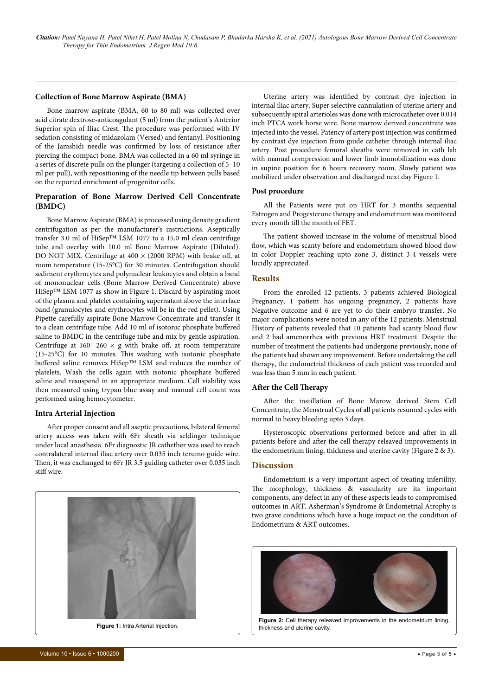#### **Collection of Bone Marrow Aspirate (BMA)**

Bone marrow aspirate (BMA, 60 to 80 ml) was collected over acid citrate dextrose-anticoagulant (5 ml) from the patient's Anterior Superior spin of Iliac Crest. The procedure was performed with IV sedation consisting of midazolam (Versed) and fentanyl. Positioning of the Jamshidi needle was confirmed by loss of resistance after piercing the compact bone. BMA was collected in a 60 ml syringe in a series of discrete pulls on the plunger (targeting a collection of 5–10 ml per pull), with repositioning of the needle tip between pulls based on the reported enrichment of progenitor cells.

### **Preparation of Bone Marrow Derived Cell Concentrate (BMDC)**

Bone Marrow Aspirate (BMA) is processed using density gradient centrifugation as per the manufacturer's instructions. Aseptically transfer 3.0 ml of HiSep™ LSM 1077 to a 15.0 ml clean centrifuge tube and overlay with 10.0 ml Bone Marrow Aspirate (Diluted). DO NOT MIX. Centrifuge at  $400 \times (2000 \text{ RPM})$  with brake off, at room temperature (15‐25°C) for 30 minutes. Centrifugation should sediment erythrocytes and polynuclear leukocytes and obtain a band of mononuclear cells (Bone Marrow Derived Concentrate) above HiSep™ LSM 1077 as show in Figure 1. Discard by aspirating most of the plasma and platelet containing supernatant above the interface band (granulocytes and erythrocytes will be in the red pellet). Using Pipette carefully aspirate Bone Marrow Concentrate and transfer it to a clean centrifuge tube. Add 10 ml of isotonic phosphate buffered saline to BMDC in the centrifuge tube and mix by gentle aspiration. Centrifuge at 160- 260  $\times$  g with brake off, at room temperature (15‐25°C) for 10 minutes. This washing with isotonic phosphate buffered saline removes HiSep™ LSM and reduces the number of platelets. Wash the cells again with isotonic phosphate buffered saline and resuspend in an appropriate medium. Cell viability was then measured using trypan blue assay and manual cell count was performed using hemocytometer.

#### **Intra Arterial Injection**

After proper consent and all aseptic precautions, bilateral femoral artery access was taken with 6Fr sheath via seldinger technique under local anasthesia. 6Fr diagnostic JR cathether was used to reach contralateral internal iliac artery over 0.035 inch terumo guide wire. Then, it was exchanged to 6Fr JR 3.5 guiding catheter over 0.035 inch stiff wire.



**Figure 1:** Intra Arterial Injection.

Uterine artery was identified by contrast dye injection in internal iliac artery. Super selective cannulation of uterine artery and subsequently spiral arterioles was done with microcatheter over 0.014 inch PTCA work horse wire. Bone marrow derived concentrate was injected into the vessel. Patency of artery post injection was confirmed by contrast dye injection from guide catheter through internal iliac artery. Post procedure femoral sheaths were removed in cath lab with manual compression and lower limb immobilization was done in supine position for 6 hours recovery room. Slowly patient was mobilized under observation and discharged next day Figure 1.

#### **Post procedure**

All the Patients were put on HRT for 3 months sequential Estrogen and Progesterone therapy and endometrium was monitored every month till the month of FET.

The patient showed increase in the volume of menstrual blood flow, which was scanty before and endometrium showed blood flow in color Doppler reaching upto zone 3, distinct 3-4 vessels were lucidly appreciated.

### **Results**

From the enrolled 12 patients, 3 patients achieved Biological Pregnancy, 1 patient has ongoing pregnancy, 2 patients have Negative outcome and 6 are yet to do their embryo transfer. No major complications were noted in any of the 12 patients. Menstrual History of patients revealed that 10 patients had scanty blood flow and 2 had amenorrhea with previous HRT treatment. Despite the number of treatment the patients had undergone previously, none of the patients had shown any improvement. Before undertaking the cell therapy, the endometrial thickness of each patient was recorded and was less than 5 mm in each patient.

#### **After the Cell Therapy**

After the instillation of Bone Marow derived Stem Cell Concentrate, the Menstrual Cycles of all patients resumed cycles with normal to heavy bleeding upto 3 days.

Hysteroscopic observations performed before and after in all patients before and after the cell therapy releaved improvements in the endometrium lining, thickness and uterine cavity (Figure 2 & 3).

#### **Discussion**

Endometrium is a very important aspect of treating infertility. The morphology, thickness & vascularity are its important components, any defect in any of these aspects leads to compromised outcomes in ART. Asherman's Syndrome & Endometrial Atrophy is two grave conditions which have a huge impact on the condition of Endometrium & ART outcomes.



**Figure 2:** Cell therapy releaved improvements in the endometrium lining, thickness and uterine cavity.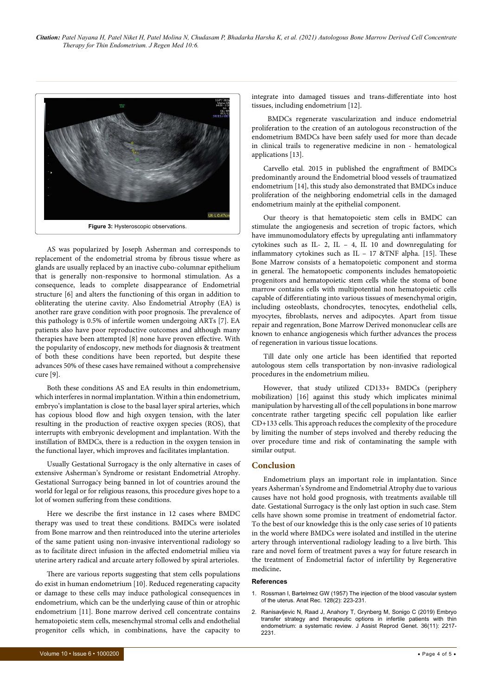*Citation: Patel Nayana H, Patel Niket H, Patel Molina N, Chudasam P, Bhadarka Harsha K, et al. (2021) Autologous Bone Marrow Derived Cell Concentrate Therapy for Thin Endometrium. J Regen Med 10:6.*



AS was popularized by Joseph Asherman and corresponds to replacement of the endometrial stroma by fibrous tissue where as glands are usually replaced by an inactive cubo-columnar epithelium that is generally non-responsive to hormonal stimulation. As a consequence, leads to complete disappearance of Endometrial structure [6] and alters the functioning of this organ in addition to obliterating the uterine cavity. Also Endometrial Atrophy (EA) is another rare grave condition with poor prognosis. The prevalence of this pathology is 0.5% of infertile women undergoing ARTs [7]. EA patients also have poor reproductive outcomes and although many therapies have been attempted [8] none have proven effective. With the popularity of endoscopy, new methods for diagnosis & treatment of both these conditions have been reported, but despite these advances 50% of these cases have remained without a comprehensive cure [9].

Both these conditions AS and EA results in thin endometrium, which interferes in normal implantation. Within a thin endometrium, embryo's implantation is close to the basal layer spiral arteries, which has copious blood flow and high oxygen tension, with the later resulting in the production of reactive oxygen species (ROS), that interrupts with embryonic development and implantation. With the instillation of BMDCs, there is a reduction in the oxygen tension in the functional layer, which improves and facilitates implantation.

Usually Gestational Surrogacy is the only alternative in cases of extensive Asherman's Syndrome or resistant Endometrial Atrophy. Gestational Surrogacy being banned in lot of countries around the world for legal or for religious reasons, this procedure gives hope to a lot of women suffering from these conditions.

Here we describe the first instance in 12 cases where BMDC therapy was used to treat these conditions. BMDCs were isolated from Bone marrow and then reintroduced into the uterine arterioles of the same patient using non-invasive interventional radiology so as to facilitate direct infusion in the affected endometrial milieu via uterine artery radical and arcuate artery followed by spiral arterioles.

There are various reports suggesting that stem cells populations do exist in human endometrium [10]. Reduced regenerating capacity or damage to these cells may induce pathological consequences in endometrium, which can be the underlying cause of thin or atrophic endometrium [11]. Bone marrow derived cell concentrate contains hematopoietic stem cells, mesenchymal stromal cells and endothelial progenitor cells which, in combinations, have the capacity to integrate into damaged tissues and trans-differentiate into host tissues, including endometrium [12].

 BMDCs regenerate vascularization and induce endometrial proliferation to the creation of an autologous reconstruction of the endometrium BMDCs have been safely used for more than decade in clinical trails to regenerative medicine in non - hematological applications [13].

Carvello etal. 2015 in published the engraftment of BMDCs predominantly around the Endometrial blood vessels of traumatized endometrium [14], this study also demonstrated that BMDCs induce proliferation of the neighboring endometrial cells in the damaged endometrium mainly at the epithelial component.

Our theory is that hematopoietic stem cells in BMDC can stimulate the angiogenesis and secretion of tropic factors, which have immunomodulatory effects by upregulating anti inflammatory cytokines such as IL- 2, IL – 4, IL 10 and downregulating for inflammatory cytokines such as IL – 17 &TNF alpha. [15]. These Bone Marrow consists of a hematopoietic component and storma in general. The hematopoetic components includes hematopoietic progenitors and hematopoietic stem cells while the stoma of bone marrow contains cells with multipotential non hematopoietic cells capable of differentiating into various tissues of mesenchymal origin, including osteoblasts, chondrocytes, tenocytes, endothelial cells, myocytes, fibroblasts, nerves and adipocytes. Apart from tissue repair and regenration, Bone Marrow Derived mononuclear cells are known to enhance angiogenesis which further advances the process of regeneration in various tissue locations.

Till date only one article has been identified that reported autologous stem cells transportation by non-invasive radiological procedures in the endometrium milieu.

However, that study utilized CD133+ BMDCs (periphery mobilization) [16] against this study which implicates minimal manipulation by harvesting all of the cell populations in bone marrow concentrate rather targeting specific cell population like earlier CD+133 cells. This approach reduces the complexity of the procedure by limiting the number of steps involved and thereby reducing the over procedure time and risk of contaminating the sample with similar output.

#### **Conclusion**

Endometrium plays an important role in implantation. Since years Asherman's Syndrome and Endometrial Atrophy due to various causes have not hold good prognosis, with treatments available till date. Gestational Surrogacy is the only last option in such case. Stem cells have shown some promise in treatment of endometrial factor. To the best of our knowledge this is the only case series of 10 patients in the world where BMDCs were isolated and instilled in the uterine artery through interventional radiology leading to a live birth. This rare and novel form of treatment paves a way for future research in the treatment of Endometrial factor of infertility by Regenerative medicine**.**

#### **References**

- 1. [Rossman I, Bartelmez GW \(1957\) The injection of the blood vascular system](https://doi.org/10.1002/ar.1091280207)  [of the uterus. Anat Rec. 128\(2\): 223-231.](https://doi.org/10.1002/ar.1091280207)
- 2. Ranisavljevic N, Raad J, Anahory T, Grynberg M, Sonigo C (2019) Embryo transfer strategy and therapeutic options in infertile patients with thin endometrium: a systematic review. J Assist Reprod Genet. 36(11): 2217- 2231.